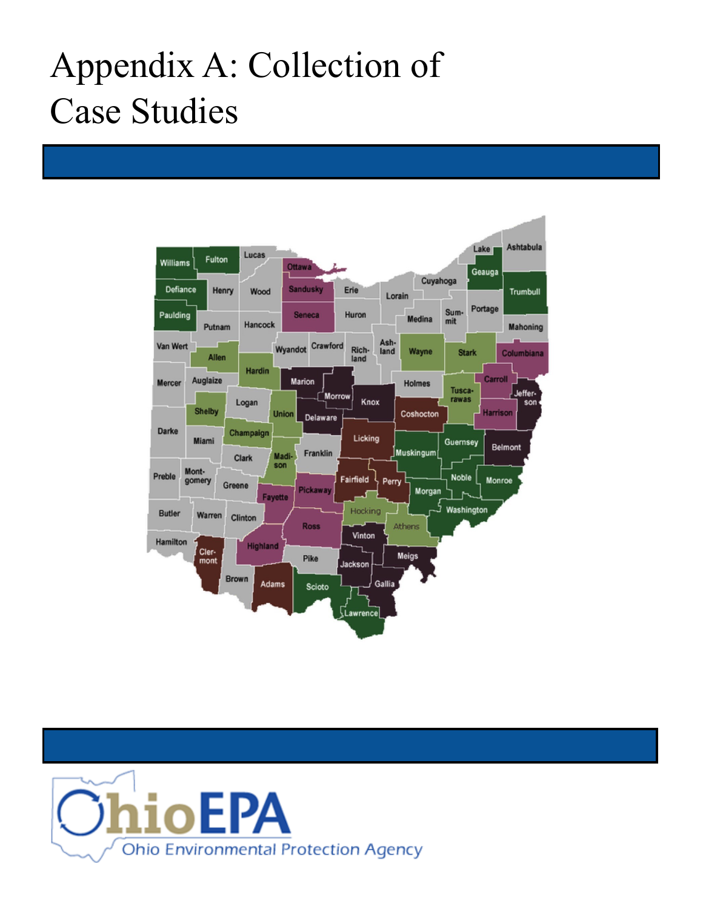## Appendix A: Collection of Case Studies



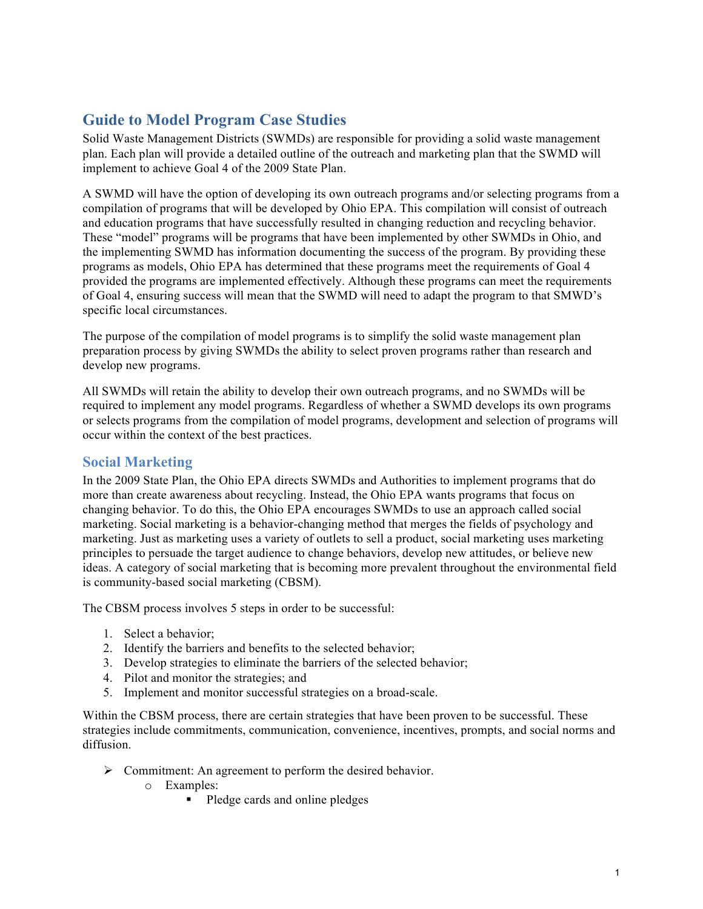## **Guide to Model Program Case Studies**

Solid Waste Management Districts (SWMDs) are responsible for providing a solid waste management plan. Each plan will provide a detailed outline of the outreach and marketing plan that the SWMD will implement to achieve Goal 4 of the 2009 State Plan.

A SWMD will have the option of developing its own outreach programs and/or selecting programs from a compilation of programs that will be developed by Ohio EPA. This compilation will consist of outreach and education programs that have successfully resulted in changing reduction and recycling behavior. These "model" programs will be programs that have been implemented by other SWMDs in Ohio, and the implementing SWMD has information documenting the success of the program. By providing these programs as models, Ohio EPA has determined that these programs meet the requirements of Goal 4 provided the programs are implemented effectively. Although these programs can meet the requirements of Goal 4, ensuring success will mean that the SWMD will need to adapt the program to that SMWD's specific local circumstances.

The purpose of the compilation of model programs is to simplify the solid waste management plan preparation process by giving SWMDs the ability to select proven programs rather than research and develop new programs.

All SWMDs will retain the ability to develop their own outreach programs, and no SWMDs will be required to implement any model programs. Regardless of whether a SWMD develops its own programs or selects programs from the compilation of model programs, development and selection of programs will occur within the context of the best practices.

## **Social Marketing**

In the 2009 State Plan, the Ohio EPA directs SWMDs and Authorities to implement programs that do more than create awareness about recycling. Instead, the Ohio EPA wants programs that focus on changing behavior. To do this, the Ohio EPA encourages SWMDs to use an approach called social marketing. Social marketing is a behavior-changing method that merges the fields of psychology and marketing. Just as marketing uses a variety of outlets to sell a product, social marketing uses marketing principles to persuade the target audience to change behaviors, develop new attitudes, or believe new ideas. A category of social marketing that is becoming more prevalent throughout the environmental field is community-based social marketing (CBSM).

The CBSM process involves 5 steps in order to be successful:

- 1. Select a behavior;
- 2. Identify the barriers and benefits to the selected behavior;
- 3. Develop strategies to eliminate the barriers of the selected behavior;
- 4. Pilot and monitor the strategies; and
- 5. Implement and monitor successful strategies on a broad-scale.

Within the CBSM process, there are certain strategies that have been proven to be successful. These strategies include commitments, communication, convenience, incentives, prompts, and social norms and diffusion.

- $\triangleright$  Commitment: An agreement to perform the desired behavior.
	- o Examples:
		- Pledge cards and online pledges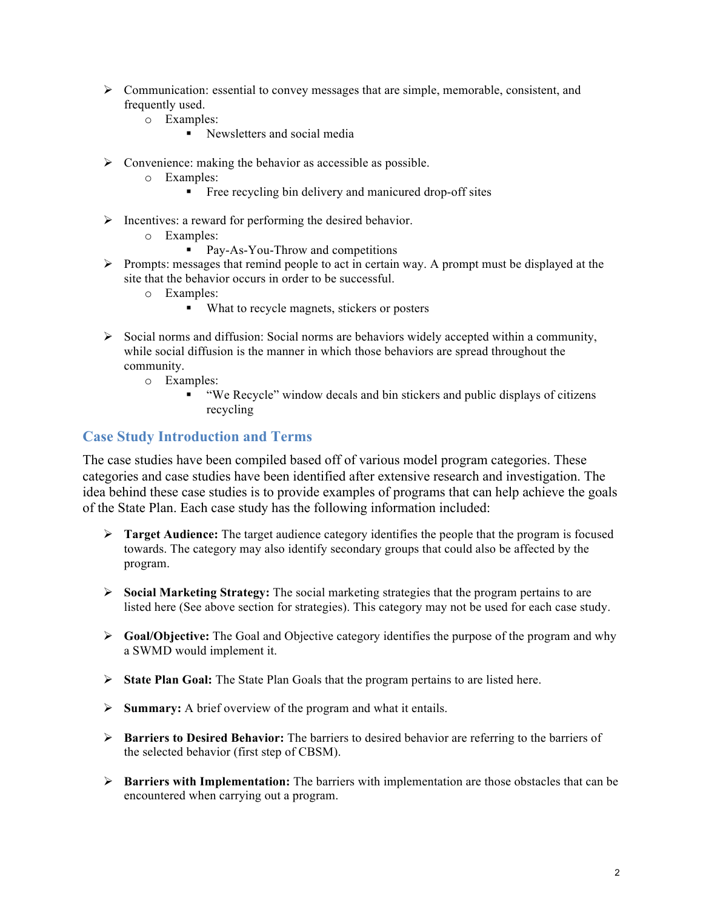- $\triangleright$  Communication: essential to convey messages that are simple, memorable, consistent, and frequently used.
	- o Examples:
		- Newsletters and social media
- $\triangleright$  Convenience: making the behavior as accessible as possible.
	- o Examples:
		- Free recycling bin delivery and manicured drop-off sites
- $\triangleright$  Incentives: a reward for performing the desired behavior.
	- o Examples:
		- Pay-As-You-Throw and competitions
- $\triangleright$  Prompts: messages that remind people to act in certain way. A prompt must be displayed at the site that the behavior occurs in order to be successful.
	- o Examples:
		- What to recycle magnets, stickers or posters
- $\triangleright$  Social norms and diffusion: Social norms are behaviors widely accepted within a community, while social diffusion is the manner in which those behaviors are spread throughout the community.
	- o Examples:
		- "We Recycle" window decals and bin stickers and public displays of citizens recycling

## **Case Study Introduction and Terms**

The case studies have been compiled based off of various model program categories. These categories and case studies have been identified after extensive research and investigation. The idea behind these case studies is to provide examples of programs that can help achieve the goals of the State Plan. Each case study has the following information included:

- $\triangleright$  **Target Audience:** The target audience category identifies the people that the program is focused towards. The category may also identify secondary groups that could also be affected by the program.
- Ø **Social Marketing Strategy:** The social marketing strategies that the program pertains to are listed here (See above section for strategies). This category may not be used for each case study.
- Ø **Goal/Objective:** The Goal and Objective category identifies the purpose of the program and why a SWMD would implement it.
- Ø **State Plan Goal:** The State Plan Goals that the program pertains to are listed here.
- Ø **Summary:** A brief overview of the program and what it entails.
- Ø **Barriers to Desired Behavior:** The barriers to desired behavior are referring to the barriers of the selected behavior (first step of CBSM).
- Ø **Barriers with Implementation:** The barriers with implementation are those obstacles that can be encountered when carrying out a program.